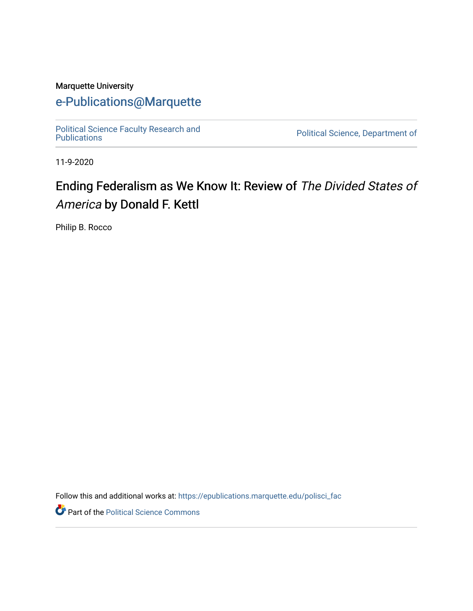### Marquette University

## [e-Publications@Marquette](https://epublications.marquette.edu/)

[Political Science Faculty Research and](https://epublications.marquette.edu/polisci_fac)

Political Science, Department of

11-9-2020

# Ending Federalism as We Know It: Review of The Divided States of America by Donald F. Kettl

Philip B. Rocco

Follow this and additional works at: [https://epublications.marquette.edu/polisci\\_fac](https://epublications.marquette.edu/polisci_fac?utm_source=epublications.marquette.edu%2Fpolisci_fac%2F96&utm_medium=PDF&utm_campaign=PDFCoverPages)

Part of the [Political Science Commons](http://network.bepress.com/hgg/discipline/386?utm_source=epublications.marquette.edu%2Fpolisci_fac%2F96&utm_medium=PDF&utm_campaign=PDFCoverPages)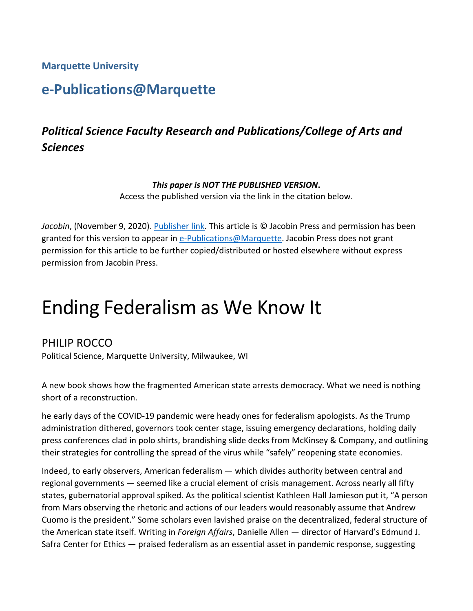**Marquette University**

# **e-Publications@Marquette**

# *Political Science Faculty Research and Publications/College of Arts and Sciences*

#### *This paper is NOT THE PUBLISHED VERSION***.**

Access the published version via the link in the citation below.

*Jacobin*, (November 9, 2020). [Publisher link.](https://jacobinmag.com/2020/11/ending-federalism-as-we-know-it) This article is © Jacobin Press and permission has been granted for this version to appear in [e-Publications@Marquette.](http://epublications.marquette.edu/) Jacobin Press does not grant permission for this article to be further copied/distributed or hosted elsewhere without express permission from Jacobin Press.

# Ending Federalism as We Know It

### PHILIP ROCCO

Political Science, Marquette University, Milwaukee, WI

A new book shows how the fragmented American state arrests democracy. What we need is nothing short of a reconstruction.

he early days of the COVID-19 pandemic were heady ones for federalism apologists. As the Trump administration dithered, governors took center stage, issuing emergency declarations, holding daily press conferences clad in polo shirts, brandishing slide decks from McKinsey & Company, and outlining their strategies for controlling the spread of the virus while "safely" reopening state economies.

Indeed, to early observers, American federalism — which divides authority between central and regional governments — seemed like a crucial element of crisis management. Across nearly all fifty states, gubernatorial approval spiked. As the political scientist Kathleen Hall Jamieson put it, "A person from Mars observing the rhetoric and actions of our leaders would reasonably assume that Andrew Cuomo is the president." Some scholars even lavished praise on the decentralized, federal structure of the American state itself. Writing in *Foreign Affairs*, Danielle Allen — director of Harvard's Edmund J. Safra Center for Ethics — praised federalism as an essential asset in pandemic response, suggesting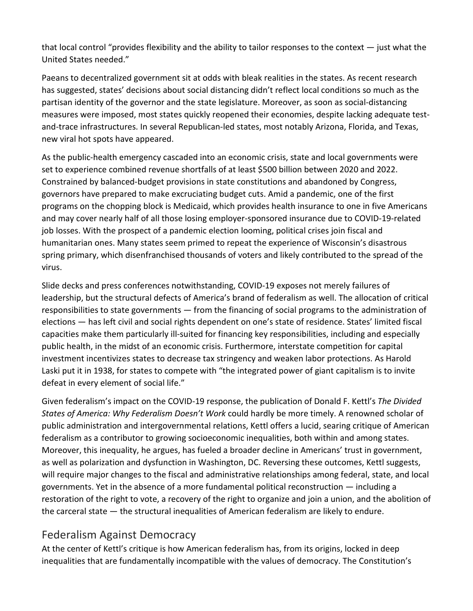that local control "provides flexibility and the ability to tailor responses to the context  $-$  just what the United States needed."

Paeans to decentralized government sit at odds with bleak realities in the states. As recent research has suggested, states' decisions about social distancing didn't reflect local conditions so much as the partisan identity of the governor and the state legislature. Moreover, as soon as social-distancing measures were imposed, most states quickly reopened their economies, despite lacking adequate testand-trace infrastructures. In several Republican-led states, most notably Arizona, Florida, and Texas, new viral hot spots have appeared.

As the public-health emergency cascaded into an economic crisis, state and local governments were set to experience combined revenue shortfalls of at least \$500 billion between 2020 and 2022. Constrained by balanced-budget provisions in state constitutions and abandoned by Congress, governors have prepared to make excruciating budget cuts. Amid a pandemic, one of the first programs on the chopping block is Medicaid, which provides health insurance to one in five Americans and may cover nearly half of all those losing employer-sponsored insurance due to COVID-19-related job losses. With the prospect of a pandemic election looming, political crises join fiscal and humanitarian ones. Many states seem primed to repeat the experience of Wisconsin's disastrous spring primary, which disenfranchised thousands of voters and likely contributed to the spread of the virus.

Slide decks and press conferences notwithstanding, COVID-19 exposes not merely failures of leadership, but the structural defects of America's brand of federalism as well. The allocation of critical responsibilities to state governments — from the financing of social programs to the administration of elections — has left civil and social rights dependent on one's state of residence. States' limited fiscal capacities make them particularly ill-suited for financing key responsibilities, including and especially public health, in the midst of an economic crisis. Furthermore, interstate competition for capital investment incentivizes states to decrease tax stringency and weaken labor protections. As Harold Laski put it in 1938, for states to compete with "the integrated power of giant capitalism is to invite defeat in every element of social life."

Given federalism's impact on the COVID-19 response, the publication of Donald F. Kettl's *The Divided States of America: Why Federalism Doesn't Work* could hardly be more timely. A renowned scholar of public administration and intergovernmental relations, Kettl offers a lucid, searing critique of American federalism as a contributor to growing socioeconomic inequalities, both within and among states. Moreover, this inequality, he argues, has fueled a broader decline in Americans' trust in government, as well as polarization and dysfunction in Washington, DC. Reversing these outcomes, Kettl suggests, will require major changes to the fiscal and administrative relationships among federal, state, and local governments. Yet in the absence of a more fundamental political reconstruction — including a restoration of the right to vote, a recovery of the right to organize and join a union, and the abolition of the carceral state — the structural inequalities of American federalism are likely to endure.

## Federalism Against Democracy

At the center of Kettl's critique is how American federalism has, from its origins, locked in deep inequalities that are fundamentally incompatible with the values of democracy. The Constitution's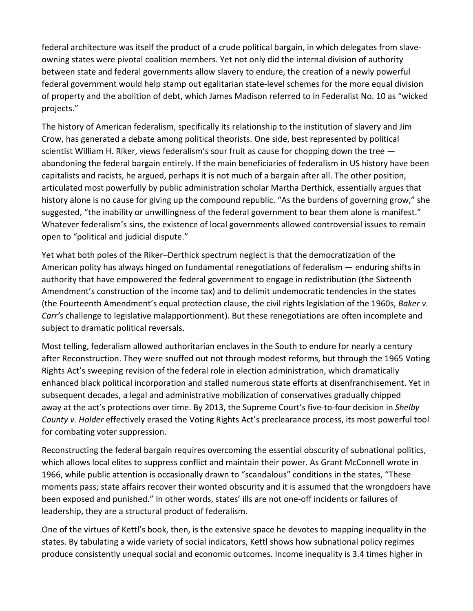federal architecture was itself the product of a crude political bargain, in which delegates from slaveowning states were pivotal coalition members. Yet not only did the internal division of authority between state and federal governments allow slavery to endure, the creation of a newly powerful federal government would help stamp out egalitarian state-level schemes for the more equal division of property and the abolition of debt, which James Madison referred to in Federalist No. 10 as "wicked projects."

The history of American federalism, specifically its relationship to the institution of slavery and Jim Crow, has generated a debate among political theorists. One side, best represented by political scientist William H. Riker, views federalism's sour fruit as cause for chopping down the tree abandoning the federal bargain entirely. If the main beneficiaries of federalism in US history have been capitalists and racists, he argued, perhaps it is not much of a bargain after all. The other position, articulated most powerfully by public administration scholar Martha Derthick, essentially argues that history alone is no cause for giving up the compound republic. "As the burdens of governing grow," she suggested, "the inability or unwillingness of the federal government to bear them alone is manifest." Whatever federalism's sins, the existence of local governments allowed controversial issues to remain open to "political and judicial dispute."

Yet what both poles of the Riker–Derthick spectrum neglect is that the democratization of the American polity has always hinged on fundamental renegotiations of federalism — enduring shifts in authority that have empowered the federal government to engage in redistribution (the Sixteenth Amendment's construction of the income tax) and to delimit undemocratic tendencies in the states (the Fourteenth Amendment's equal protection clause, the civil rights legislation of the 1960s, *Baker v. Carr'*s challenge to legislative malapportionment). But these renegotiations are often incomplete and subject to dramatic political reversals.

Most telling, federalism allowed authoritarian enclaves in the South to endure for nearly a century after Reconstruction. They were snuffed out not through modest reforms, but through the 1965 Voting Rights Act's sweeping revision of the federal role in election administration, which dramatically enhanced black political incorporation and stalled numerous state efforts at disenfranchisement. Yet in subsequent decades, a legal and administrative mobilization of conservatives gradually chipped away at the act's protections over time. By 2013, the Supreme Court's five-to-four decision in *Shelby County v. Holder* effectively erased the Voting Rights Act's preclearance process, its most powerful tool for combating voter suppression.

Reconstructing the federal bargain requires overcoming the essential obscurity of subnational politics, which allows local elites to suppress conflict and maintain their power. As Grant McConnell wrote in 1966, while public attention is occasionally drawn to "scandalous" conditions in the states, "These moments pass; state affairs recover their wonted obscurity and it is assumed that the wrongdoers have been exposed and punished." In other words, states' ills are not one-off incidents or failures of leadership, they are a structural product of federalism.

One of the virtues of Kettl's book, then, is the extensive space he devotes to mapping inequality in the states. By tabulating a wide variety of social indicators, Kettl shows how subnational policy regimes produce consistently unequal social and economic outcomes. Income inequality is 3.4 times higher in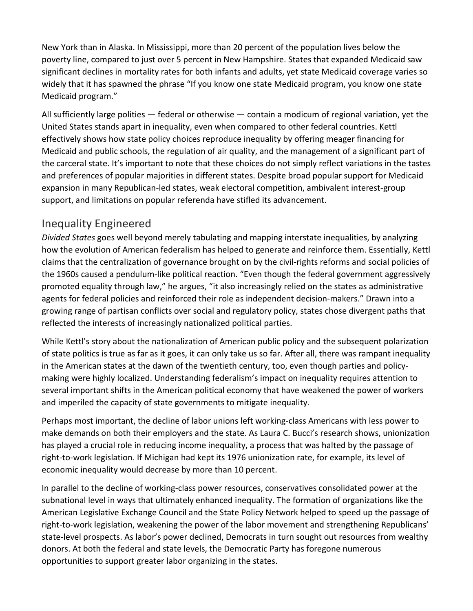New York than in Alaska. In Mississippi, more than 20 percent of the population lives below the poverty line, compared to just over 5 percent in New Hampshire. States that expanded Medicaid saw significant declines in mortality rates for both infants and adults, yet state Medicaid coverage varies so widely that it has spawned the phrase "If you know one state Medicaid program, you know one state Medicaid program."

All sufficiently large polities — federal or otherwise — contain a modicum of regional variation, yet the United States stands apart in inequality, even when compared to other federal countries. Kettl effectively shows how state policy choices reproduce inequality by offering meager financing for Medicaid and public schools, the regulation of air quality, and the management of a significant part of the carceral state. It's important to note that these choices do not simply reflect variations in the tastes and preferences of popular majorities in different states. Despite broad popular support for Medicaid expansion in many Republican-led states, weak electoral competition, ambivalent interest-group support, and limitations on popular referenda have stifled its advancement.

## Inequality Engineered

*Divided States* goes well beyond merely tabulating and mapping interstate inequalities, by analyzing how the evolution of American federalism has helped to generate and reinforce them. Essentially, Kettl claims that the centralization of governance brought on by the civil-rights reforms and social policies of the 1960s caused a pendulum-like political reaction. "Even though the federal government aggressively promoted equality through law," he argues, "it also increasingly relied on the states as administrative agents for federal policies and reinforced their role as independent decision-makers." Drawn into a growing range of partisan conflicts over social and regulatory policy, states chose divergent paths that reflected the interests of increasingly nationalized political parties.

While Kettl's story about the nationalization of American public policy and the subsequent polarization of state politics is true as far as it goes, it can only take us so far. After all, there was rampant inequality in the American states at the dawn of the twentieth century, too, even though parties and policymaking were highly localized. Understanding federalism's impact on inequality requires attention to several important shifts in the American political economy that have weakened the power of workers and imperiled the capacity of state governments to mitigate inequality.

Perhaps most important, the decline of labor unions left working-class Americans with less power to make demands on both their employers and the state. As Laura C. Bucci's research shows, unionization has played a crucial role in reducing income inequality, a process that was halted by the passage of right-to-work legislation. If Michigan had kept its 1976 unionization rate, for example, its level of economic inequality would decrease by more than 10 percent.

In parallel to the decline of working-class power resources, conservatives consolidated power at the subnational level in ways that ultimately enhanced inequality. The formation of organizations like the American Legislative Exchange Council and the State Policy Network helped to speed up the passage of right-to-work legislation, weakening the power of the labor movement and strengthening Republicans' state-level prospects. As labor's power declined, Democrats in turn sought out resources from wealthy donors. At both the federal and state levels, the Democratic Party has foregone numerous opportunities to support greater labor organizing in the states.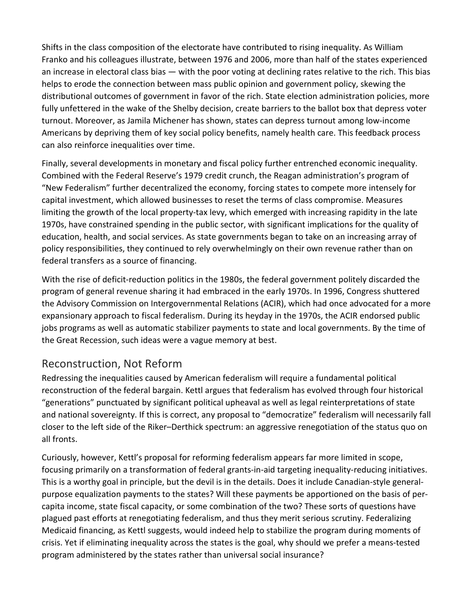Shifts in the class composition of the electorate have contributed to rising inequality. As William Franko and his colleagues illustrate, between 1976 and 2006, more than half of the states experienced an increase in electoral class bias — with the poor voting at declining rates relative to the rich. This bias helps to erode the connection between mass public opinion and government policy, skewing the distributional outcomes of government in favor of the rich. State election administration policies, more fully unfettered in the wake of the Shelby decision, create barriers to the ballot box that depress voter turnout. Moreover, as Jamila Michener has shown, states can depress turnout among low-income Americans by depriving them of key social policy benefits, namely health care. This feedback process can also reinforce inequalities over time.

Finally, several developments in monetary and fiscal policy further entrenched economic inequality. Combined with the Federal Reserve's 1979 credit crunch, the Reagan administration's program of "New Federalism" further decentralized the economy, forcing states to compete more intensely for capital investment, which allowed businesses to reset the terms of class compromise. Measures limiting the growth of the local property-tax levy, which emerged with increasing rapidity in the late 1970s, have constrained spending in the public sector, with significant implications for the quality of education, health, and social services. As state governments began to take on an increasing array of policy responsibilities, they continued to rely overwhelmingly on their own revenue rather than on federal transfers as a source of financing.

With the rise of deficit-reduction politics in the 1980s, the federal government politely discarded the program of general revenue sharing it had embraced in the early 1970s. In 1996, Congress shuttered the Advisory Commission on Intergovernmental Relations (ACIR), which had once advocated for a more expansionary approach to fiscal federalism. During its heyday in the 1970s, the ACIR endorsed public jobs programs as well as automatic stabilizer payments to state and local governments. By the time of the Great Recession, such ideas were a vague memory at best.

## Reconstruction, Not Reform

Redressing the inequalities caused by American federalism will require a fundamental political reconstruction of the federal bargain. Kettl argues that federalism has evolved through four historical "generations" punctuated by significant political upheaval as well as legal reinterpretations of state and national sovereignty. If this is correct, any proposal to "democratize" federalism will necessarily fall closer to the left side of the Riker–Derthick spectrum: an aggressive renegotiation of the status quo on all fronts.

Curiously, however, Kettl's proposal for reforming federalism appears far more limited in scope, focusing primarily on a transformation of federal grants-in-aid targeting inequality-reducing initiatives. This is a worthy goal in principle, but the devil is in the details. Does it include Canadian-style generalpurpose equalization payments to the states? Will these payments be apportioned on the basis of percapita income, state fiscal capacity, or some combination of the two? These sorts of questions have plagued past efforts at renegotiating federalism, and thus they merit serious scrutiny. Federalizing Medicaid financing, as Kettl suggests, would indeed help to stabilize the program during moments of crisis. Yet if eliminating inequality across the states is the goal, why should we prefer a means-tested program administered by the states rather than universal social insurance?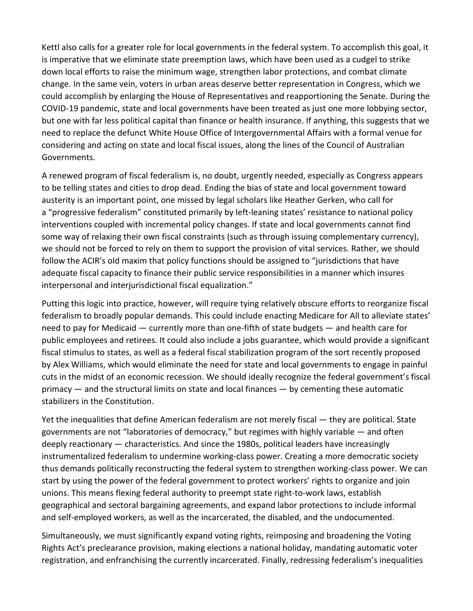Kettl also calls for a greater role for local governments in the federal system. To accomplish this goal, it is imperative that we eliminate state preemption laws, which have been used as a cudgel to strike down local efforts to raise the minimum wage, strengthen labor protections, and combat climate change. In the same vein, voters in urban areas deserve better representation in Congress, which we could accomplish by enlarging the House of Representatives and reapportioning the Senate. During the COVID-19 pandemic, state and local governments have been treated as just one more lobbying sector, but one with far less political capital than finance or health insurance. If anything, this suggests that we need to replace the defunct White House Office of Intergovernmental Affairs with a formal venue for considering and acting on state and local fiscal issues, along the lines of the Council of Australian Governments.

A renewed program of fiscal federalism is, no doubt, urgently needed, especially as Congress appears to be telling states and cities to drop dead. Ending the bias of state and local government toward austerity is an important point, one missed by legal scholars like Heather Gerken, who call for a "progressive federalism" constituted primarily by left-leaning states' resistance to national policy interventions coupled with incremental policy changes. If state and local governments cannot find some way of relaxing their own fiscal constraints (such as through issuing complementary currency), we should not be forced to rely on them to support the provision of vital services. Rather, we should follow the ACIR's old maxim that policy functions should be assigned to "jurisdictions that have adequate fiscal capacity to finance their public service responsibilities in a manner which insures interpersonal and interjurisdictional fiscal equalization."

Putting this logic into practice, however, will require tying relatively obscure efforts to reorganize fiscal federalism to broadly popular demands. This could include enacting Medicare for All to alleviate states' need to pay for Medicaid — currently more than one-fifth of state budgets — and health care for public employees and retirees. It could also include a jobs guarantee, which would provide a significant fiscal stimulus to states, as well as a federal fiscal stabilization program of the sort recently proposed by Alex Williams, which would eliminate the need for state and local governments to engage in painful cuts in the midst of an economic recession. We should ideally recognize the federal government's fiscal primacy — and the structural limits on state and local finances — by cementing these automatic stabilizers in the Constitution.

Yet the inequalities that define American federalism are not merely fiscal — they are political. State governments are not "laboratories of democracy," but regimes with highly variable — and often deeply reactionary — characteristics. And since the 1980s, political leaders have increasingly instrumentalized federalism to undermine working-class power. Creating a more democratic society thus demands politically reconstructing the federal system to strengthen working-class power. We can start by using the power of the federal government to protect workers' rights to organize and join unions. This means flexing federal authority to preempt state right-to-work laws, establish geographical and sectoral bargaining agreements, and expand labor protections to include informal and self-employed workers, as well as the incarcerated, the disabled, and the undocumented.

Simultaneously, we must significantly expand voting rights, reimposing and broadening the Voting Rights Act's preclearance provision, making elections a national holiday, mandating automatic voter registration, and enfranchising the currently incarcerated. Finally, redressing federalism's inequalities